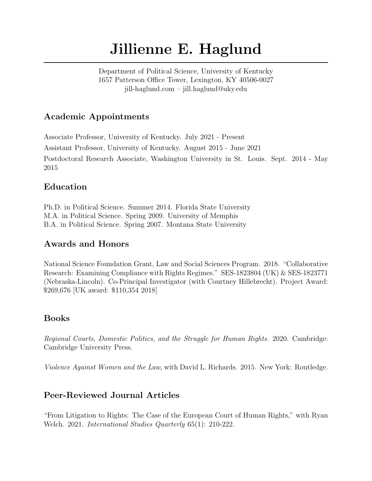# Jillienne E. Haglund

Department of Political Science, University of Kentucky 1657 Patterson Office Tower, Lexington, KY 40506-0027 jill-haglund.com – jill.haglund@uky.edu

### Academic Appointments

Associate Professor, University of Kentucky. July 2021 - Present Assistant Professor, University of Kentucky. August 2015 - June 2021 Postdoctoral Research Associate, Washington University in St. Louis. Sept. 2014 - May 2015

## Education

Ph.D. in Political Science. Summer 2014. Florida State University M.A. in Political Science. Spring 2009. University of Memphis B.A. in Political Science. Spring 2007. Montana State University

## Awards and Honors

National Science Foundation Grant, Law and Social Sciences Program. 2018. "Collaborative Research: Examining Compliance with Rights Regimes." SES-1823804 (UK) & SES-1823771 (Nebraska-Lincoln). Co-Principal Investigator (with Courtney Hillebrecht). Project Award: \$269,676 [UK award: \$110,354 2018]

# Books

Regional Courts, Domestic Politics, and the Struggle for Human Rights. 2020. Cambridge: Cambridge University Press.

Violence Against Women and the Law, with David L. Richards. 2015. New York: Routledge.

# Peer-Reviewed Journal Articles

"From Litigation to Rights: The Case of the European Court of Human Rights," with Ryan Welch. 2021. International Studies Quarterly 65(1): 210-222.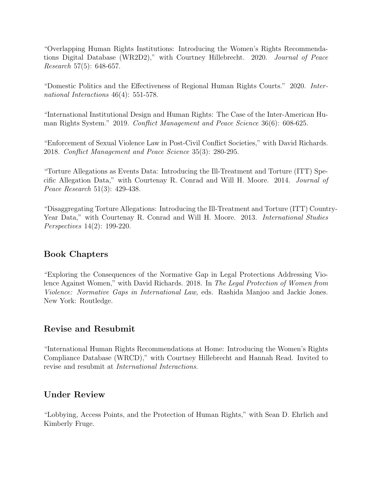"Overlapping Human Rights Institutions: Introducing the Women's Rights Recommendations Digital Database (WR2D2)," with Courtney Hillebrecht. 2020. Journal of Peace Research 57(5): 648-657.

"Domestic Politics and the Effectiveness of Regional Human Rights Courts." 2020. International Interactions 46(4): 551-578.

"International Institutional Design and Human Rights: The Case of the Inter-American Human Rights System." 2019. Conflict Management and Peace Science 36(6): 608-625.

"Enforcement of Sexual Violence Law in Post-Civil Conflict Societies," with David Richards. 2018. Conflict Management and Peace Science 35(3): 280-295.

"Torture Allegations as Events Data: Introducing the Ill-Treatment and Torture (ITT) Specific Allegation Data," with Courtenay R. Conrad and Will H. Moore. 2014. Journal of Peace Research 51(3): 429-438.

"Disaggregating Torture Allegations: Introducing the Ill-Treatment and Torture (ITT) Country-Year Data," with Courtenay R. Conrad and Will H. Moore. 2013. *International Studies* Perspectives 14(2): 199-220.

#### Book Chapters

"Exploring the Consequences of the Normative Gap in Legal Protections Addressing Violence Against Women," with David Richards. 2018. In The Legal Protection of Women from Violence: Normative Gaps in International Law, eds. Rashida Manjoo and Jackie Jones. New York: Routledge.

#### Revise and Resubmit

"International Human Rights Recommendations at Home: Introducing the Women's Rights Compliance Database (WRCD)," with Courtney Hillebrecht and Hannah Read. Invited to revise and resubmit at International Interactions.

#### Under Review

"Lobbying, Access Points, and the Protection of Human Rights," with Sean D. Ehrlich and Kimberly Fruge.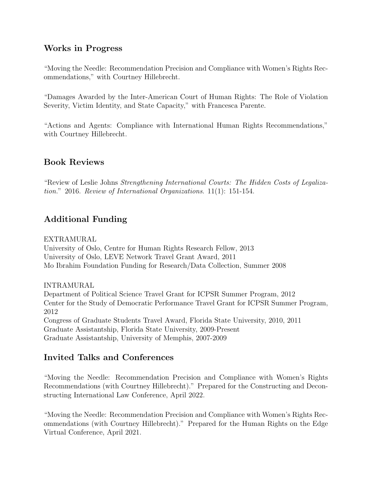#### Works in Progress

"Moving the Needle: Recommendation Precision and Compliance with Women's Rights Recommendations," with Courtney Hillebrecht.

"Damages Awarded by the Inter-American Court of Human Rights: The Role of Violation Severity, Victim Identity, and State Capacity," with Francesca Parente.

"Actions and Agents: Compliance with International Human Rights Recommendations," with Courtney Hillebrecht.

#### Book Reviews

"Review of Leslie Johns Strengthening International Courts: The Hidden Costs of Legalization." 2016. Review of International Organizations. 11(1): 151-154.

## Additional Funding

EXTRAMURAL

University of Oslo, Centre for Human Rights Research Fellow, 2013 University of Oslo, LEVE Network Travel Grant Award, 2011 Mo Ibrahim Foundation Funding for Research/Data Collection, Summer 2008

INTRAMURAL

Department of Political Science Travel Grant for ICPSR Summer Program, 2012 Center for the Study of Democratic Performance Travel Grant for ICPSR Summer Program, 2012 Congress of Graduate Students Travel Award, Florida State University, 2010, 2011 Graduate Assistantship, Florida State University, 2009-Present

Graduate Assistantship, University of Memphis, 2007-2009

#### Invited Talks and Conferences

"Moving the Needle: Recommendation Precision and Compliance with Women's Rights Recommendations (with Courtney Hillebrecht)." Prepared for the Constructing and Deconstructing International Law Conference, April 2022.

"Moving the Needle: Recommendation Precision and Compliance with Women's Rights Recommendations (with Courtney Hillebrecht)." Prepared for the Human Rights on the Edge Virtual Conference, April 2021.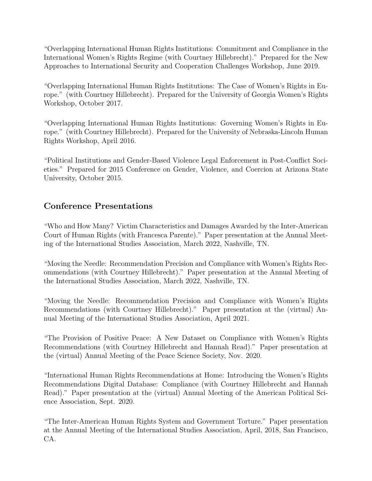"Overlapping International Human Rights Institutions: Commitment and Compliance in the International Women's Rights Regime (with Courtney Hillebrecht)." Prepared for the New Approaches to International Security and Cooperation Challenges Workshop, June 2019.

"Overlapping International Human Rights Institutions: The Case of Women's Rights in Europe." (with Courtney Hillebrecht). Prepared for the University of Georgia Women's Rights Workshop, October 2017.

"Overlapping International Human Rights Institutions: Governing Women's Rights in Europe." (with Courtney Hillebrecht). Prepared for the University of Nebraska-Lincoln Human Rights Workshop, April 2016.

"Political Institutions and Gender-Based Violence Legal Enforcement in Post-Conflict Societies." Prepared for 2015 Conference on Gender, Violence, and Coercion at Arizona State University, October 2015.

## Conference Presentations

"Who and How Many? Victim Characteristics and Damages Awarded by the Inter-American Court of Human Rights (with Francesca Parente)." Paper presentation at the Annual Meeting of the International Studies Association, March 2022, Nashville, TN.

"Moving the Needle: Recommendation Precision and Compliance with Women's Rights Recommendations (with Courtney Hillebrecht)." Paper presentation at the Annual Meeting of the International Studies Association, March 2022, Nashville, TN.

"Moving the Needle: Recommendation Precision and Compliance with Women's Rights Recommendations (with Courtney Hillebrecht)." Paper presentation at the (virtual) Annual Meeting of the International Studies Association, April 2021.

"The Provision of Positive Peace: A New Dataset on Compliance with Women's Rights Recommendations (with Courtney Hillebrecht and Hannah Read)." Paper presentation at the (virtual) Annual Meeting of the Peace Science Society, Nov. 2020.

"International Human Rights Recommendations at Home: Introducing the Women's Rights Recommendations Digital Database: Compliance (with Courtney Hillebrecht and Hannah Read)." Paper presentation at the (virtual) Annual Meeting of the American Political Science Association, Sept. 2020.

"The Inter-American Human Rights System and Government Torture." Paper presentation at the Annual Meeting of the International Studies Association, April, 2018, San Francisco, CA.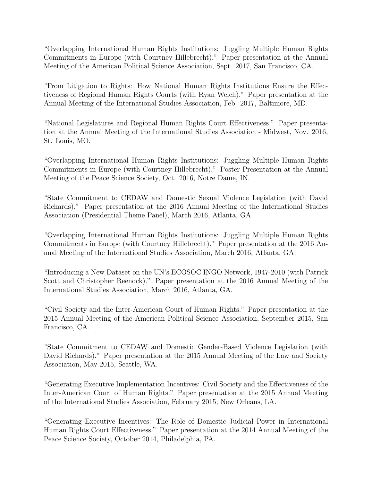"Overlapping International Human Rights Institutions: Juggling Multiple Human Rights Commitments in Europe (with Courtney Hillebrecht)." Paper presentation at the Annual Meeting of the American Political Science Association, Sept. 2017, San Francisco, CA.

"From Litigation to Rights: How National Human Rights Institutions Ensure the Effectiveness of Regional Human Rights Courts (with Ryan Welch)." Paper presentation at the Annual Meeting of the International Studies Association, Feb. 2017, Baltimore, MD.

"National Legislatures and Regional Human Rights Court Effectiveness." Paper presentation at the Annual Meeting of the International Studies Association - Midwest, Nov. 2016, St. Louis, MO.

"Overlapping International Human Rights Institutions: Juggling Multiple Human Rights Commitments in Europe (with Courtney Hillebrecht)." Poster Presentation at the Annual Meeting of the Peace Science Society, Oct. 2016, Notre Dame, IN.

"State Commitment to CEDAW and Domestic Sexual Violence Legislation (with David Richards)." Paper presentation at the 2016 Annual Meeting of the International Studies Association (Presidential Theme Panel), March 2016, Atlanta, GA.

"Overlapping International Human Rights Institutions: Juggling Multiple Human Rights Commitments in Europe (with Courtney Hillebrecht)." Paper presentation at the 2016 Annual Meeting of the International Studies Association, March 2016, Atlanta, GA.

"Introducing a New Dataset on the UN's ECOSOC INGO Network, 1947-2010 (with Patrick Scott and Christopher Reenock)." Paper presentation at the 2016 Annual Meeting of the International Studies Association, March 2016, Atlanta, GA.

"Civil Society and the Inter-American Court of Human Rights." Paper presentation at the 2015 Annual Meeting of the American Political Science Association, September 2015, San Francisco, CA.

"State Commitment to CEDAW and Domestic Gender-Based Violence Legislation (with David Richards)." Paper presentation at the 2015 Annual Meeting of the Law and Society Association, May 2015, Seattle, WA.

"Generating Executive Implementation Incentives: Civil Society and the Effectiveness of the Inter-American Court of Human Rights." Paper presentation at the 2015 Annual Meeting of the International Studies Association, February 2015, New Orleans, LA.

"Generating Executive Incentives: The Role of Domestic Judicial Power in International Human Rights Court Effectiveness." Paper presentation at the 2014 Annual Meeting of the Peace Science Society, October 2014, Philadelphia, PA.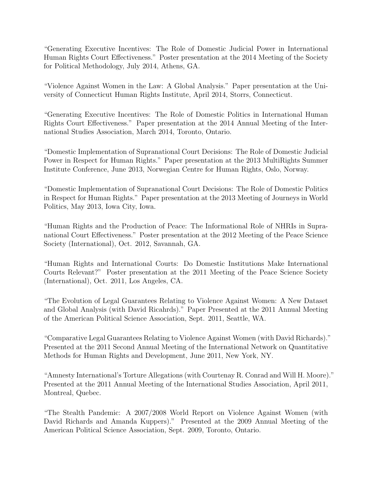"Generating Executive Incentives: The Role of Domestic Judicial Power in International Human Rights Court Effectiveness." Poster presentation at the 2014 Meeting of the Society for Political Methodology, July 2014, Athens, GA.

"Violence Against Women in the Law: A Global Analysis." Paper presentation at the University of Connecticut Human Rights Institute, April 2014, Storrs, Connecticut.

"Generating Executive Incentives: The Role of Domestic Politics in International Human Rights Court Effectiveness." Paper presentation at the 2014 Annual Meeting of the International Studies Association, March 2014, Toronto, Ontario.

"Domestic Implementation of Supranational Court Decisions: The Role of Domestic Judicial Power in Respect for Human Rights." Paper presentation at the 2013 MultiRights Summer Institute Conference, June 2013, Norwegian Centre for Human Rights, Oslo, Norway.

"Domestic Implementation of Supranational Court Decisions: The Role of Domestic Politics in Respect for Human Rights." Paper presentation at the 2013 Meeting of Journeys in World Politics, May 2013, Iowa City, Iowa.

"Human Rights and the Production of Peace: The Informational Role of NHRIs in Supranational Court Effectiveness." Poster presentation at the 2012 Meeting of the Peace Science Society (International), Oct. 2012, Savannah, GA.

"Human Rights and International Courts: Do Domestic Institutions Make International Courts Relevant?" Poster presentation at the 2011 Meeting of the Peace Science Society (International), Oct. 2011, Los Angeles, CA.

"The Evolution of Legal Guarantees Relating to Violence Against Women: A New Dataset and Global Analysis (with David Ricahrds)." Paper Presented at the 2011 Annual Meeting of the American Political Science Association, Sept. 2011, Seattle, WA.

"Comparative Legal Guarantees Relating to Violence Against Women (with David Richards)." Presented at the 2011 Second Annual Meeting of the International Network on Quantitative Methods for Human Rights and Development, June 2011, New York, NY.

"Amnesty International's Torture Allegations (with Courtenay R. Conrad and Will H. Moore)." Presented at the 2011 Annual Meeting of the International Studies Association, April 2011, Montreal, Quebec.

"The Stealth Pandemic: A 2007/2008 World Report on Violence Against Women (with David Richards and Amanda Kuppers)." Presented at the 2009 Annual Meeting of the American Political Science Association, Sept. 2009, Toronto, Ontario.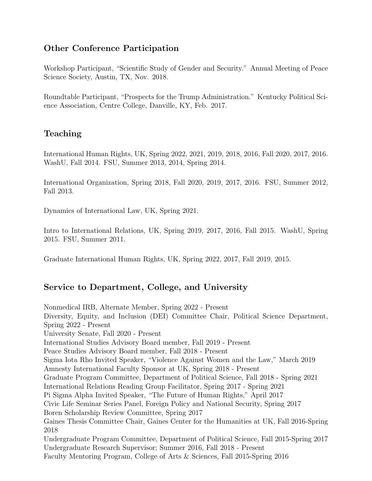### Other Conference Participation

Workshop Participant, "Scientific Study of Gender and Security." Annual Meeting of Peace Science Society, Austin, TX, Nov. 2018.

Roundtable Participant, "Prospects for the Trump Administration." Kentucky Political Science Association, Centre College, Danville, KY, Feb. 2017.

## Teaching

International Human Rights, UK, Spring 2022, 2021, 2019, 2018, 2016, Fall 2020, 2017, 2016. WashU, Fall 2014. FSU, Summer 2013, 2014, Spring 2014.

International Organization, Spring 2018, Fall 2020, 2019, 2017, 2016. FSU, Summer 2012, Fall 2013.

Dynamics of International Law, UK, Spring 2021.

Intro to International Relations, UK, Spring 2019, 2017, 2016, Fall 2015. WashU, Spring 2015. FSU, Summer 2011.

Graduate International Human Rights, UK, Spring 2022, 2017, Fall 2019, 2015.

# Service to Department, College, and University

Nonmedical IRB, Alternate Member, Spring 2022 - Present Diversity, Equity, and Inclusion (DEI) Committee Chair, Political Science Department, Spring 2022 - Present University Senate, Fall 2020 - Present International Studies Advisory Board member, Fall 2019 - Present Peace Studies Advisory Board member, Fall 2018 - Present Sigma Iota Rho Invited Speaker, "Violence Against Women and the Law," March 2019 Amnesty International Faculty Sponsor at UK, Spring 2018 - Present Graduate Program Committee, Department of Political Science, Fall 2018 - Spring 2021 International Relations Reading Group Facilitator, Spring 2017 - Spring 2021 Pi Sigma Alpha Invited Speaker, "The Future of Human Rights," April 2017 Civic Life Seminar Series Panel, Foreign Policy and National Security, Spring 2017 Boren Scholarship Review Committee, Spring 2017 Gaines Thesis Committee Chair, Gaines Center for the Humanities at UK, Fall 2016-Spring 2018 Undergraduate Program Committee, Department of Political Science, Fall 2015-Spring 2017 Undergraduate Research Supervisor; Summer 2016, Fall 2018 - Present Faculty Mentoring Program, College of Arts & Sciences, Fall 2015-Spring 2016